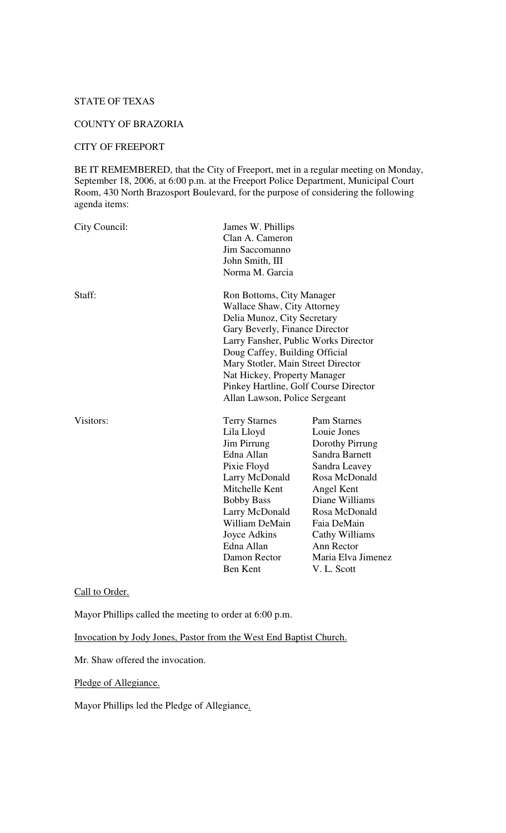# STATE OF TEXAS

# COUNTY OF BRAZORIA

### CITY OF FREEPORT

BE IT REMEMBERED, that the City of Freeport, met in a regular meeting on Monday, September 18, 2006, at 6:00 p.m. at the Freeport Police Department, Municipal Court Room, 430 North Brazosport Boulevard, for the purpose of considering the following agenda items:

| City Council: | James W. Phillips<br>Clan A. Cameron<br>Jim Saccomanno<br>John Smith, III<br>Norma M. Garcia                                                                                                                                                                                                                                                               |                                                                                                                                                                                                                                               |
|---------------|------------------------------------------------------------------------------------------------------------------------------------------------------------------------------------------------------------------------------------------------------------------------------------------------------------------------------------------------------------|-----------------------------------------------------------------------------------------------------------------------------------------------------------------------------------------------------------------------------------------------|
| Staff:        | Ron Bottoms, City Manager<br><b>Wallace Shaw, City Attorney</b><br>Delia Munoz, City Secretary<br>Gary Beverly, Finance Director<br>Larry Fansher, Public Works Director<br>Doug Caffey, Building Official<br>Mary Stotler, Main Street Director<br>Nat Hickey, Property Manager<br>Pinkey Hartline, Golf Course Director<br>Allan Lawson, Police Sergeant |                                                                                                                                                                                                                                               |
| Visitors:     | <b>Terry Starnes</b><br>Lila Lloyd<br>Jim Pirrung<br>Edna Allan<br>Pixie Floyd<br>Larry McDonald<br>Mitchelle Kent<br><b>Bobby Bass</b><br>Larry McDonald<br>William DeMain<br>Joyce Adkins<br>Edna Allan<br>Damon Rector<br><b>Ben Kent</b>                                                                                                               | <b>Pam Starnes</b><br>Louie Jones<br>Dorothy Pirrung<br>Sandra Barnett<br>Sandra Leavey<br>Rosa McDonald<br>Angel Kent<br>Diane Williams<br>Rosa McDonald<br>Faia DeMain<br>Cathy Williams<br>Ann Rector<br>Maria Elva Jimenez<br>V. L. Scott |

# Call to Order.

Mayor Phillips called the meeting to order at 6:00 p.m.

Invocation by Jody Jones, Pastor from the West End Baptist Church.

Mr. Shaw offered the invocation.

Pledge of Allegiance.

Mayor Phillips led the Pledge of Allegiance.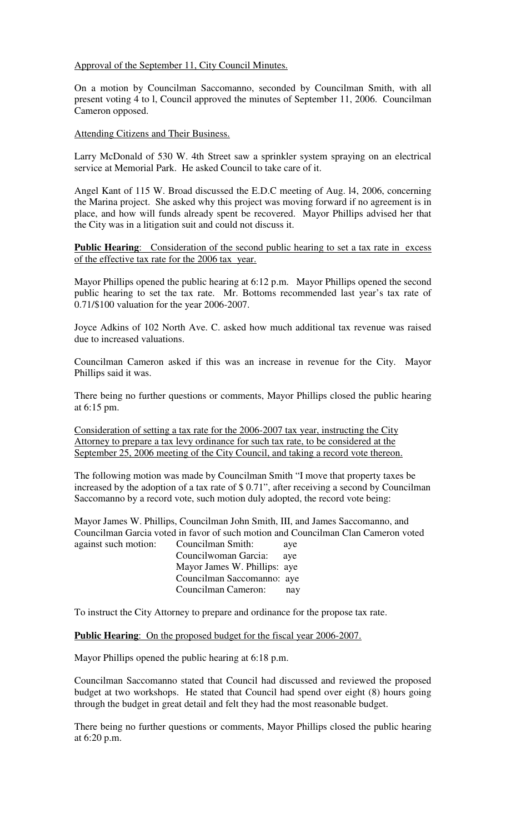### Approval of the September 11, City Council Minutes.

On a motion by Councilman Saccomanno, seconded by Councilman Smith, with all present voting 4 to l, Council approved the minutes of September 11, 2006. Councilman Cameron opposed.

Attending Citizens and Their Business.

Larry McDonald of 530 W. 4th Street saw a sprinkler system spraying on an electrical service at Memorial Park. He asked Council to take care of it.

Angel Kant of 115 W. Broad discussed the E.D.C meeting of Aug. l4, 2006, concerning the Marina project. She asked why this project was moving forward if no agreement is in place, and how will funds already spent be recovered. Mayor Phillips advised her that the City was in a litigation suit and could not discuss it.

**Public Hearing:** Consideration of the second public hearing to set a tax rate in excess of the effective tax rate for the 2006 tax year.

Mayor Phillips opened the public hearing at 6:12 p.m. Mayor Phillips opened the second public hearing to set the tax rate. Mr. Bottoms recommended last year's tax rate of 0.71/\$100 valuation for the year 2006-2007.

Joyce Adkins of 102 North Ave. C. asked how much additional tax revenue was raised due to increased valuations.

Councilman Cameron asked if this was an increase in revenue for the City. Mayor Phillips said it was.

There being no further questions or comments, Mayor Phillips closed the public hearing at 6:15 pm.

Consideration of setting a tax rate for the 2006-2007 tax year, instructing the City Attorney to prepare a tax levy ordinance for such tax rate, to be considered at the September 25, 2006 meeting of the City Council, and taking a record vote thereon.

The following motion was made by Councilman Smith "I move that property taxes be increased by the adoption of a tax rate of \$ 0.71", after receiving a second by Councilman Saccomanno by a record vote, such motion duly adopted, the record vote being:

Mayor James W. Phillips, Councilman John Smith, III, and James Saccomanno, and Councilman Garcia voted in favor of such motion and Councilman Clan Cameron voted against such motion: Councilman Smith: aye

Councilwoman Garcia: aye Mayor James W. Phillips: aye Councilman Saccomanno: aye Councilman Cameron: nay

To instruct the City Attorney to prepare and ordinance for the propose tax rate.

**Public Hearing**: On the proposed budget for the fiscal year 2006-2007.

Mayor Phillips opened the public hearing at 6:18 p.m.

Councilman Saccomanno stated that Council had discussed and reviewed the proposed budget at two workshops. He stated that Council had spend over eight (8) hours going through the budget in great detail and felt they had the most reasonable budget.

There being no further questions or comments, Mayor Phillips closed the public hearing at 6:20 p.m.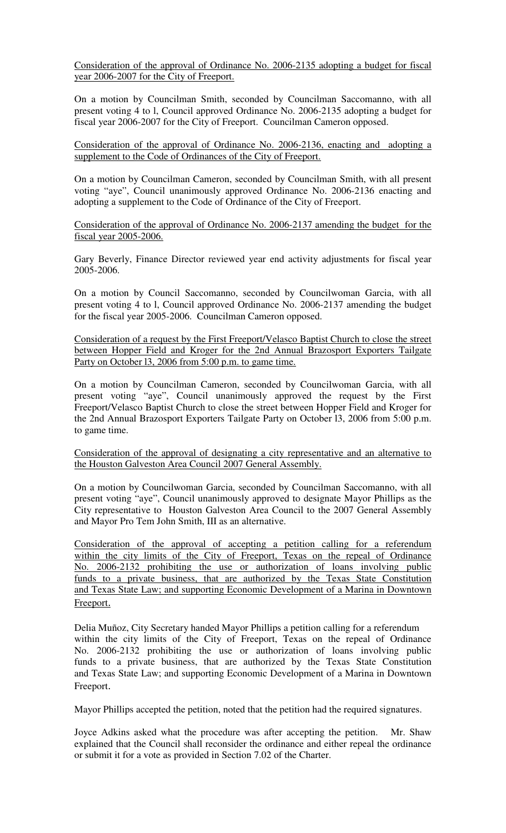Consideration of the approval of Ordinance No. 2006-2135 adopting a budget for fiscal year 2006-2007 for the City of Freeport.

On a motion by Councilman Smith, seconded by Councilman Saccomanno, with all present voting 4 to l, Council approved Ordinance No. 2006-2135 adopting a budget for fiscal year 2006-2007 for the City of Freeport. Councilman Cameron opposed.

Consideration of the approval of Ordinance No. 2006-2136, enacting and adopting a supplement to the Code of Ordinances of the City of Freeport.

On a motion by Councilman Cameron, seconded by Councilman Smith, with all present voting "aye", Council unanimously approved Ordinance No. 2006-2136 enacting and adopting a supplement to the Code of Ordinance of the City of Freeport.

Consideration of the approval of Ordinance No. 2006-2137 amending the budget for the fiscal year 2005-2006.

Gary Beverly, Finance Director reviewed year end activity adjustments for fiscal year 2005-2006.

On a motion by Council Saccomanno, seconded by Councilwoman Garcia, with all present voting 4 to l, Council approved Ordinance No. 2006-2137 amending the budget for the fiscal year 2005-2006. Councilman Cameron opposed.

Consideration of a request by the First Freeport/Velasco Baptist Church to close the street between Hopper Field and Kroger for the 2nd Annual Brazosport Exporters Tailgate Party on October 13, 2006 from 5:00 p.m. to game time.

On a motion by Councilman Cameron, seconded by Councilwoman Garcia, with all present voting "aye", Council unanimously approved the request by the First Freeport/Velasco Baptist Church to close the street between Hopper Field and Kroger for the 2nd Annual Brazosport Exporters Tailgate Party on October l3, 2006 from 5:00 p.m. to game time.

Consideration of the approval of designating a city representative and an alternative to the Houston Galveston Area Council 2007 General Assembly.

On a motion by Councilwoman Garcia, seconded by Councilman Saccomanno, with all present voting "aye", Council unanimously approved to designate Mayor Phillips as the City representative to Houston Galveston Area Council to the 2007 General Assembly and Mayor Pro Tem John Smith, III as an alternative.

Consideration of the approval of accepting a petition calling for a referendum within the city limits of the City of Freeport, Texas on the repeal of Ordinance No. 2006-2132 prohibiting the use or authorization of loans involving public funds to a private business, that are authorized by the Texas State Constitution and Texas State Law; and supporting Economic Development of a Marina in Downtown Freeport.

Delia Muñoz, City Secretary handed Mayor Phillips a petition calling for a referendum within the city limits of the City of Freeport, Texas on the repeal of Ordinance No. 2006-2132 prohibiting the use or authorization of loans involving public funds to a private business, that are authorized by the Texas State Constitution and Texas State Law; and supporting Economic Development of a Marina in Downtown Freeport.

Mayor Phillips accepted the petition, noted that the petition had the required signatures.

Joyce Adkins asked what the procedure was after accepting the petition. Mr. Shaw explained that the Council shall reconsider the ordinance and either repeal the ordinance or submit it for a vote as provided in Section 7.02 of the Charter.